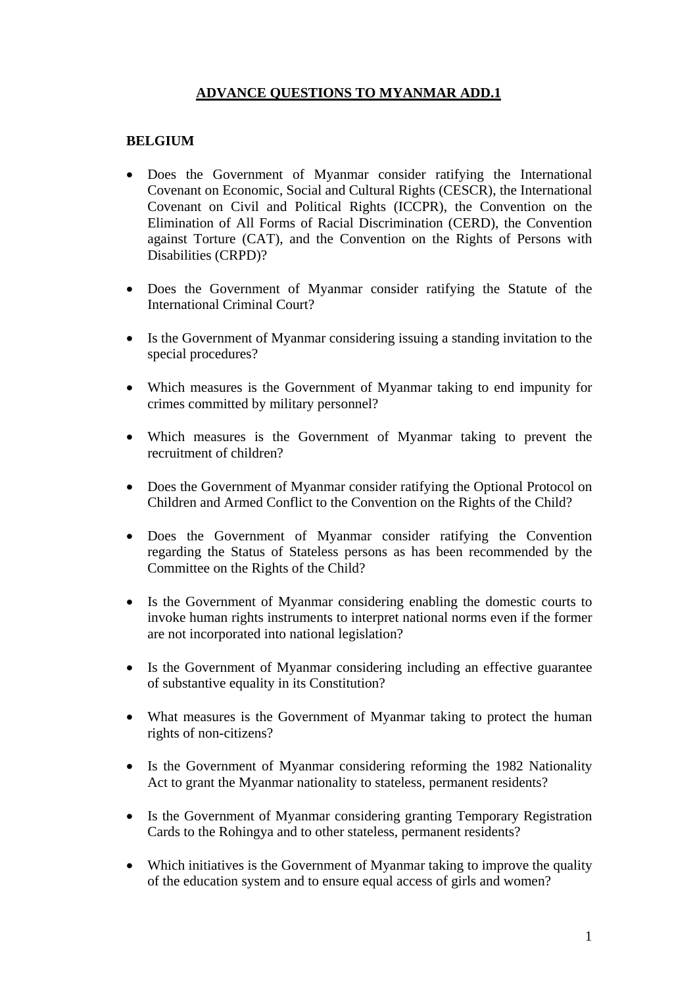## **ADVANCE QUESTIONS TO MYANMAR ADD.1**

## **BELGIUM**

- Does the Government of Myanmar consider ratifying the International Covenant on Economic, Social and Cultural Rights (CESCR), the International Covenant on Civil and Political Rights (ICCPR), the Convention on the Elimination of All Forms of Racial Discrimination (CERD), the Convention against Torture (CAT), and the Convention on the Rights of Persons with Disabilities (CRPD)?
- Does the Government of Myanmar consider ratifying the Statute of the International Criminal Court?
- Is the Government of Myanmar considering issuing a standing invitation to the special procedures?
- Which measures is the Government of Myanmar taking to end impunity for crimes committed by military personnel?
- Which measures is the Government of Myanmar taking to prevent the recruitment of children?
- Does the Government of Myanmar consider ratifying the Optional Protocol on Children and Armed Conflict to the Convention on the Rights of the Child?
- Does the Government of Myanmar consider ratifying the Convention regarding the Status of Stateless persons as has been recommended by the Committee on the Rights of the Child?
- Is the Government of Myanmar considering enabling the domestic courts to invoke human rights instruments to interpret national norms even if the former are not incorporated into national legislation?
- Is the Government of Myanmar considering including an effective guarantee of substantive equality in its Constitution?
- What measures is the Government of Myanmar taking to protect the human rights of non-citizens?
- Is the Government of Myanmar considering reforming the 1982 Nationality Act to grant the Myanmar nationality to stateless, permanent residents?
- Is the Government of Myanmar considering granting Temporary Registration Cards to the Rohingya and to other stateless, permanent residents?
- Which initiatives is the Government of Myanmar taking to improve the quality of the education system and to ensure equal access of girls and women?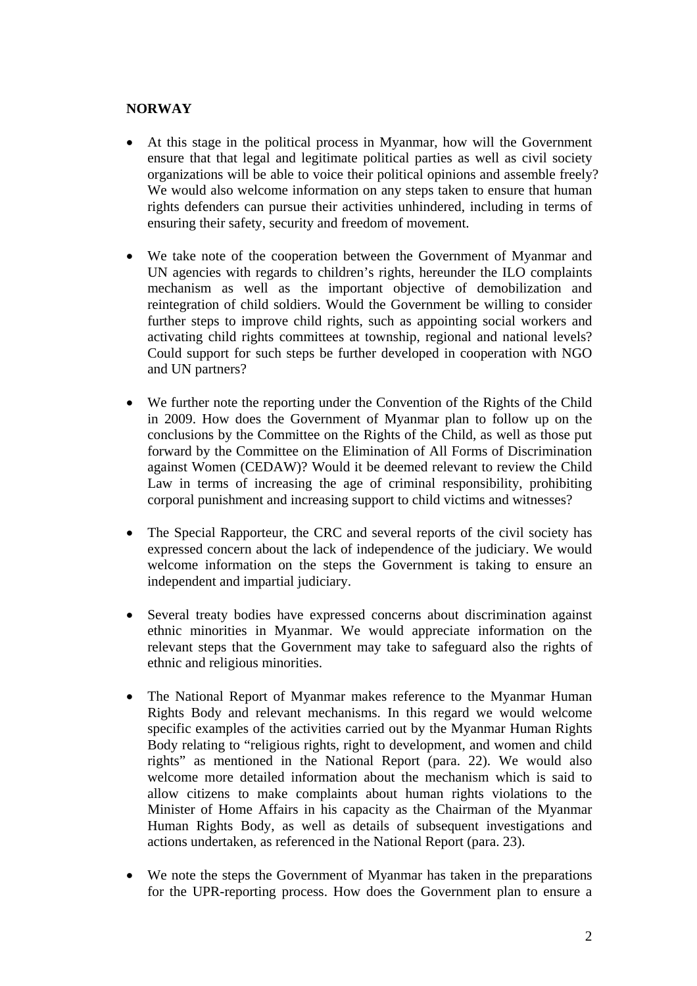## **NORWAY**

- At this stage in the political process in Myanmar, how will the Government ensure that that legal and legitimate political parties as well as civil society organizations will be able to voice their political opinions and assemble freely? We would also welcome information on any steps taken to ensure that human rights defenders can pursue their activities unhindered, including in terms of ensuring their safety, security and freedom of movement.
- We take note of the cooperation between the Government of Myanmar and UN agencies with regards to children's rights, hereunder the ILO complaints mechanism as well as the important objective of demobilization and reintegration of child soldiers. Would the Government be willing to consider further steps to improve child rights, such as appointing social workers and activating child rights committees at township, regional and national levels? Could support for such steps be further developed in cooperation with NGO and UN partners?
- We further note the reporting under the Convention of the Rights of the Child in 2009. How does the Government of Myanmar plan to follow up on the conclusions by the Committee on the Rights of the Child, as well as those put forward by the Committee on the Elimination of All Forms of Discrimination against Women (CEDAW)? Would it be deemed relevant to review the Child Law in terms of increasing the age of criminal responsibility, prohibiting corporal punishment and increasing support to child victims and witnesses?
- The Special Rapporteur, the CRC and several reports of the civil society has expressed concern about the lack of independence of the judiciary. We would welcome information on the steps the Government is taking to ensure an independent and impartial judiciary.
- Several treaty bodies have expressed concerns about discrimination against ethnic minorities in Myanmar. We would appreciate information on the relevant steps that the Government may take to safeguard also the rights of ethnic and religious minorities.
- The National Report of Myanmar makes reference to the Myanmar Human Rights Body and relevant mechanisms. In this regard we would welcome specific examples of the activities carried out by the Myanmar Human Rights Body relating to "religious rights, right to development, and women and child rights" as mentioned in the National Report (para. 22). We would also welcome more detailed information about the mechanism which is said to allow citizens to make complaints about human rights violations to the Minister of Home Affairs in his capacity as the Chairman of the Myanmar Human Rights Body, as well as details of subsequent investigations and actions undertaken, as referenced in the National Report (para. 23).
- We note the steps the Government of Myanmar has taken in the preparations for the UPR-reporting process. How does the Government plan to ensure a